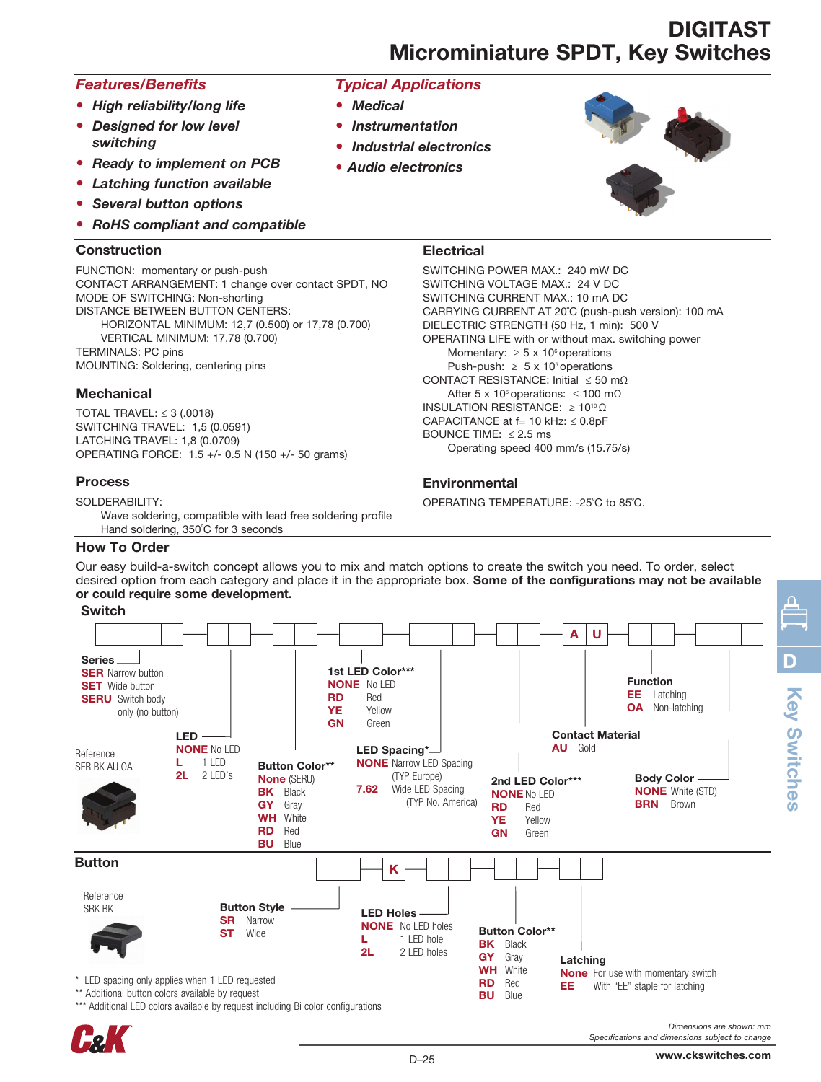# DIGITAST Microminiature SPDT, Key Switches

# *Features/Benefits*

- *High reliability/long life*
- *Designed for low level switching*
- *Ready to implement on PCB*
- *Latching function available*
- *Several button options*
- *RoHS compliant and compatible*

#### Construction

FUNCTION: momentary or push-push CONTACT ARRANGEMENT: 1 change over contact SPDT, NO MODE OF SWITCHING: Non-shorting DISTANCE BETWEEN BUTTON CENTERS: HORIZONTAL MINIMUM: 12,7 (0.500) or 17,78 (0.700) VERTICAL MINIMUM: 17,78 (0.700) TERMINALS: PC pins MOUNTING: Soldering, centering pins

### **Mechanical**

TOTAL TRAVEL:  $\leq$  3 (.0018) SWITCHING TRAVEL: 1,5 (0.0591) LATCHING TRAVEL: 1,8 (0.0709) OPERATING FORCE: 1.5 +/- 0.5 N (150 +/- 50 grams)

### Process

SOLDERABILITY:

Wave soldering, compatible with lead free soldering profile Hand soldering, 350˚C for 3 seconds

#### How To Order

*Typical Applications*

- *Medical*
- *Instrumentation*
- *Industrial electronics*
- *Audio electronics*



## **Electrical**

SWITCHING POWER MAX.: 240 mW DC SWITCHING VOLTAGE MAX.: 24 V DC SWITCHING CURRENT MAX.: 10 mA DC CARRYING CURRENT AT 20˚C (push-push version): 100 mA DIELECTRIC STRENGTH (50 Hz, 1 min): 500 V OPERATING LIFE with or without max. switching power Momentary:  $\geq 5 \times 10^6$  operations Push-push:  $\geq 5 \times 10^5$  operations CONTACT RESISTANCE: Initial ≤ 50 mΩ After 5 x 10<sup>6</sup> operations:  $\leq 100$  m $\Omega$ INSULATION RESISTANCE: ≥ 10<sup>10</sup> Ω CAPACITANCE at  $f= 10$  kHz:  $\leq 0.8$ pF BOUNCE TIME: ≤ 2.5 ms Operating speed 400 mm/s (15.75/s)

## **Environmental**

OPERATING TEMPERATURE: -25˚C to 85˚C.

Our easy build-a-switch concept allows you to mix and match options to create the switch you need. To order, select desired option from each category and place it in the appropriate box. Some of the configurations may not be available or could require some development.

#### Switch



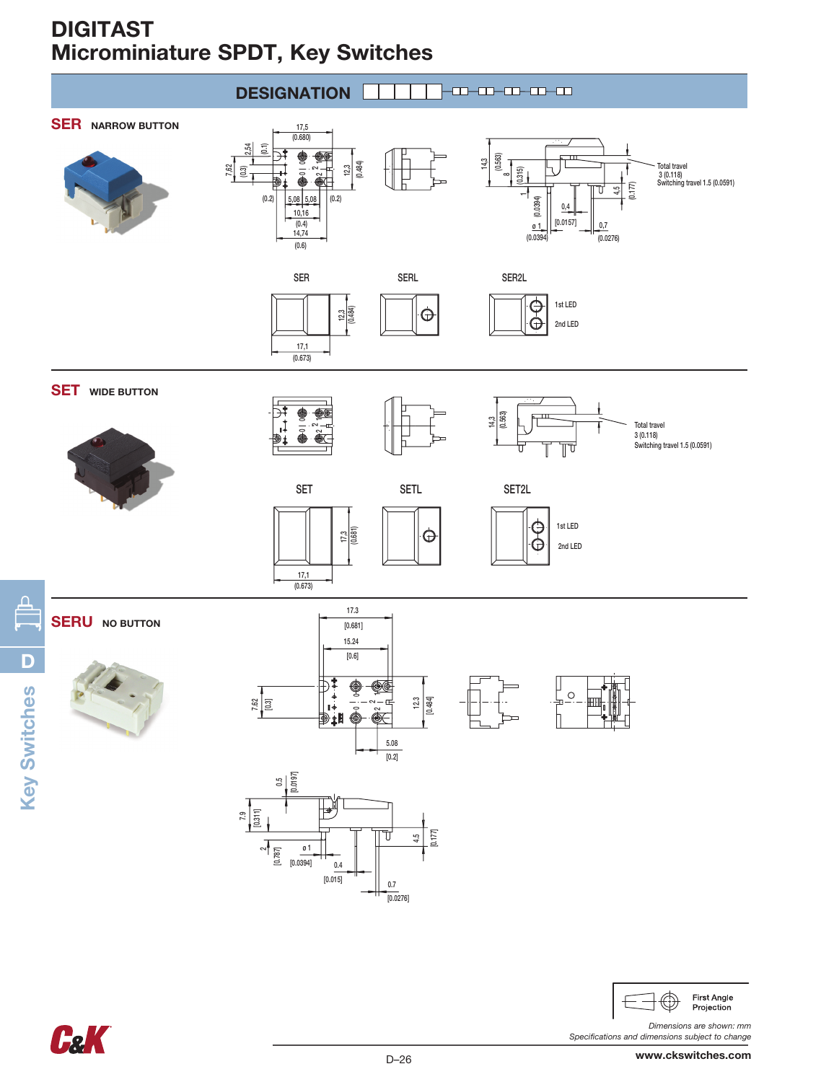# DIGITAST Microminiature SPDT, Key Switches



**C&K** 

*Dimensions are shown: mm Specifications and dimensions subject to change*

Projection